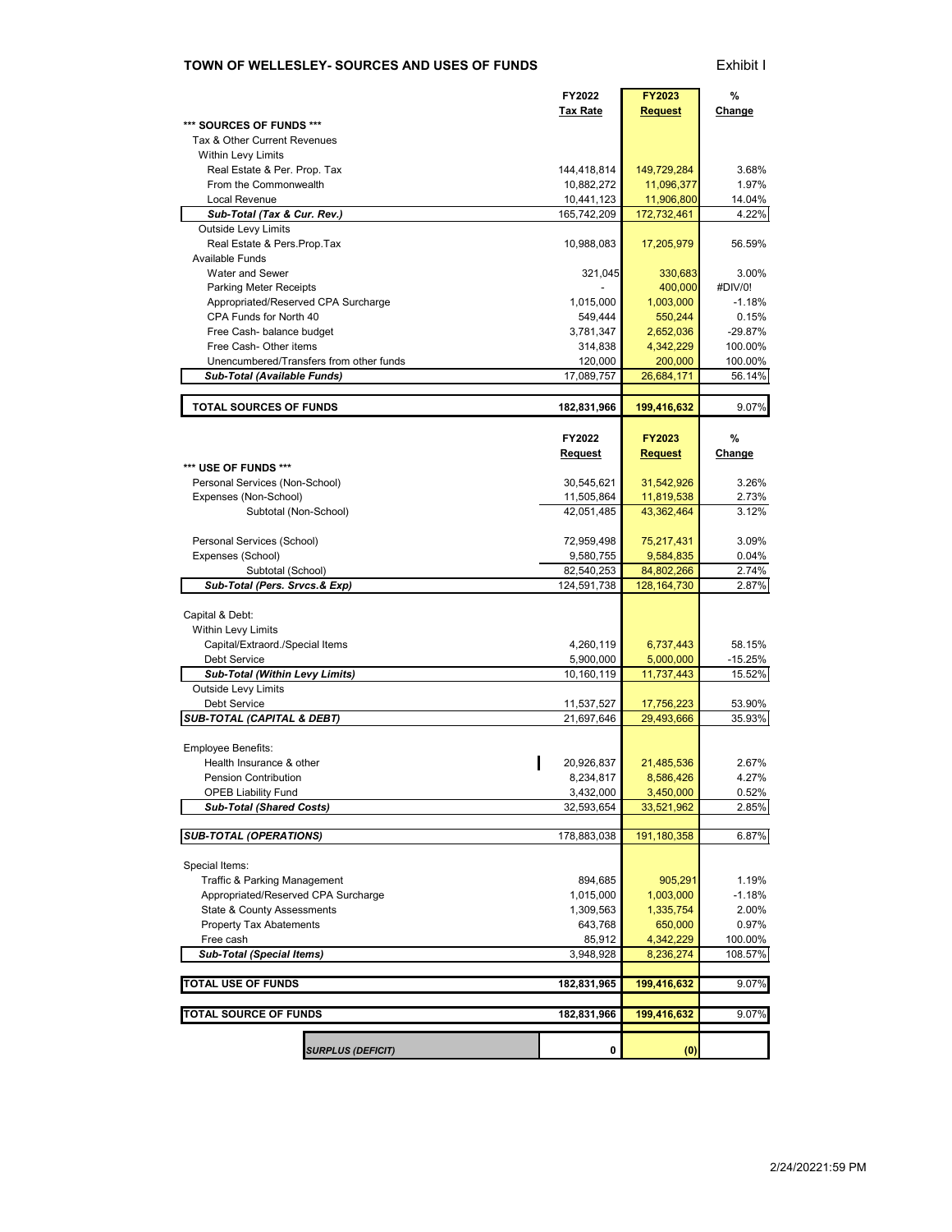### **TOWN OF WELLESLEY- SOURCES AND USES OF FUNDS** Exhibit I

|                                                        |                                         | FY2022                   | <b>FY2023</b>          | %                 |  |
|--------------------------------------------------------|-----------------------------------------|--------------------------|------------------------|-------------------|--|
| SOURCES OF FUNDS ***                                   |                                         | Tax Rate                 | <b>Request</b>         | Change            |  |
| Tax & Other Current Revenues                           |                                         |                          |                        |                   |  |
| Within Levy Limits                                     |                                         |                          |                        |                   |  |
| Real Estate & Per. Prop. Tax                           |                                         | 144,418,814              | 149,729,284            | 3.68%             |  |
| From the Commonwealth                                  |                                         | 10,882,272               | 11,096,377             | 1.97%             |  |
| Local Revenue                                          |                                         | 10,441,123               | 11,906,800             | 14.04%            |  |
| Sub-Total (Tax & Cur. Rev.)                            |                                         | 165,742,209              | 172,732,461            | 4.22%             |  |
| Outside Levy Limits<br>Real Estate & Pers. Prop. Tax   |                                         | 10,988,083               | 17,205,979             | 56.59%            |  |
| <b>Available Funds</b>                                 |                                         |                          |                        |                   |  |
| Water and Sewer                                        |                                         | 321,045                  | 330,683                | 3.00%             |  |
| Parking Meter Receipts                                 |                                         |                          | 400,000                | #DIV/0!           |  |
| Appropriated/Reserved CPA Surcharge                    |                                         | 1,015,000                | 1,003,000              | $-1.18%$          |  |
| CPA Funds for North 40                                 |                                         | 549,444                  | 550,244                | 0.15%             |  |
| Free Cash- balance budget                              |                                         | 3,781,347                | 2,652,036              | $-29.87%$         |  |
| Free Cash- Other items                                 |                                         | 314,838                  | 4,342,229              | 100.00%           |  |
|                                                        | Unencumbered/Transfers from other funds | 120,000                  | 200,000                | 100.00%           |  |
| Sub-Total (Available Funds)                            |                                         | 17,089,757               | 26,684,171             | 56.14%            |  |
| <b>TOTAL SOURCES OF FUNDS</b>                          |                                         | 182,831,966              | 199,416,632            | 9.07%             |  |
|                                                        |                                         |                          |                        |                   |  |
|                                                        |                                         | FY2022                   | <b>FY2023</b>          | %                 |  |
|                                                        |                                         | Request                  | <b>Request</b>         | Change            |  |
| *** USE OF FUNDS ***                                   |                                         |                          |                        |                   |  |
| Personal Services (Non-School)                         |                                         | 30,545,621               | 31,542,926             | 3.26%             |  |
| Expenses (Non-School)                                  |                                         | 11,505,864               | 11,819,538             | 2.73%             |  |
| Subtotal (Non-School)                                  |                                         | 42,051,485               | 43,362,464             | 3.12%             |  |
| Personal Services (School)                             |                                         | 72,959,498               | 75,217,431             | 3.09%             |  |
| Expenses (School)                                      |                                         | 9,580,755                | 9,584,835              | 0.04%             |  |
| Subtotal (School)                                      |                                         | 82,540,253               | 84,802,266             | 2.74%             |  |
| Sub-Total (Pers. Srvcs.& Exp)                          |                                         | 124,591,738              | 128, 164, 730          | 2.87%             |  |
|                                                        |                                         |                          |                        |                   |  |
| Capital & Debt:                                        |                                         |                          |                        |                   |  |
| Within Levy Limits                                     |                                         |                          |                        |                   |  |
| Capital/Extraord./Special Items<br><b>Debt Service</b> |                                         | 4,260,119<br>5,900,000   | 6,737,443<br>5,000,000 | 58.15%<br>-15.25% |  |
| Sub-Total (Within Levy Limits)                         |                                         | 10,160,119               | 11,737,443             | 15.52%            |  |
| Outside Levy Limits                                    |                                         |                          |                        |                   |  |
| Debt Service                                           |                                         | 11,537,527               | 17,756,223             | 53.90%            |  |
| <b>SUB-TOTAL (CAPITAL &amp; DEBT)</b>                  |                                         | 21,697,646<br>29,493,666 |                        |                   |  |
|                                                        |                                         |                          |                        | 35.93%            |  |
| Employee Benefits:                                     |                                         |                          |                        |                   |  |
| Health Insurance & other                               |                                         | 20,926,837               | 21,485,536             | 2.67%             |  |
| Pension Contribution                                   |                                         | 8,234,817                | 8,586,426              | 4.27%             |  |
| <b>OPEB Liability Fund</b>                             |                                         | 3,432,000                | 3,450,000              | 0.52%             |  |
| <b>Sub-Total (Shared Costs)</b>                        |                                         | 32,593,654               | 33,521,962             | 2.85%             |  |
| <b>SUB-TOTAL (OPERATIONS)</b>                          |                                         | 178,883,038              | 191,180,358            | 6.87%             |  |
|                                                        |                                         |                          |                        |                   |  |
| Special Items:                                         |                                         |                          |                        |                   |  |
| <b>Traffic &amp; Parking Management</b>                |                                         | 894,685                  | 905,291                | 1.19%             |  |
| Appropriated/Reserved CPA Surcharge                    |                                         | 1,015,000                | 1,003,000              | $-1.18%$          |  |
| State & County Assessments                             |                                         | 1,309,563                | 1,335,754              | 2.00%             |  |
| <b>Property Tax Abatements</b>                         |                                         | 643,768                  | 650,000                | 0.97%             |  |
| Free cash                                              |                                         | 85,912                   | 4,342,229              | 100.00%           |  |
| Sub-Total (Special Items)                              |                                         | 3,948,928                | 8,236,274              | 108.57%           |  |
| <b>TOTAL USE OF FUNDS</b>                              |                                         | 182,831,965              | 199,416,632            | 9.07%             |  |
|                                                        |                                         |                          |                        |                   |  |
| TOTAL SOURCE OF FUNDS                                  |                                         | 182,831,966              | 199,416,632            | 9.07%             |  |
|                                                        |                                         |                          |                        |                   |  |
|                                                        | <b>SURPLUS (DEFICIT)</b>                | 0                        | (0)                    |                   |  |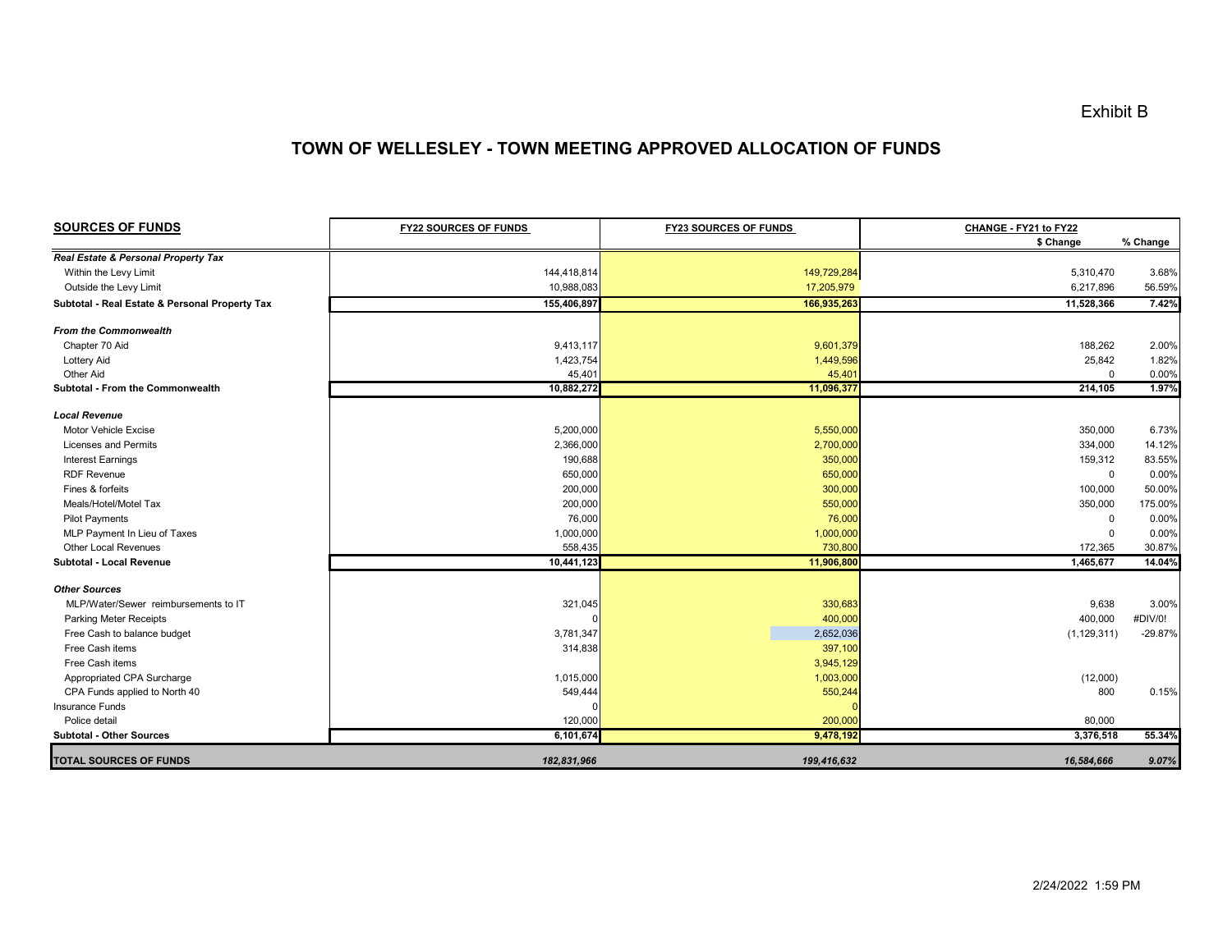## **TOWN OF WELLESLEY - TOWN MEETING APPROVED ALLOCATION OF FUNDS**

| <b>SOURCES OF FUNDS</b>                        | <b>FY22 SOURCES OF FUNDS</b> | <b>FY23 SOURCES OF FUNDS</b> | CHANGE - FY21 to FY22<br>\$ Change | % Change  |
|------------------------------------------------|------------------------------|------------------------------|------------------------------------|-----------|
| Real Estate & Personal Property Tax            |                              |                              |                                    |           |
| Within the Levy Limit                          | 144,418,814                  | 149,729,284                  | 5,310,470                          | 3.68%     |
| Outside the Levy Limit                         | 10,988,083                   | 17,205,979                   | 6,217,896                          | 56.59%    |
| Subtotal - Real Estate & Personal Property Tax | 155,406,897                  | 166,935,263                  | 11,528,366                         | 7.42%     |
| <b>From the Commonwealth</b>                   |                              |                              |                                    |           |
| Chapter 70 Aid                                 | 9,413,117                    | 9,601,379                    | 188,262                            | 2.00%     |
| <b>Lottery Aid</b>                             | 1,423,754                    | 1,449,596                    | 25,842                             | 1.82%     |
| Other Aid                                      | 45,401                       | 45,401                       | $\mathbf 0$                        | 0.00%     |
| Subtotal - From the Commonwealth               | 10,882,272                   | 11,096,377                   | 214,105                            | 1.97%     |
| <b>Local Revenue</b>                           |                              |                              |                                    |           |
| Motor Vehicle Excise                           | 5,200,000                    | 5,550,000                    | 350,000                            | 6.73%     |
| <b>Licenses and Permits</b>                    | 2,366,000                    | 2,700,000                    | 334,000                            | 14.12%    |
| <b>Interest Earnings</b>                       | 190,688                      | 350,000                      | 159,312                            | 83.55%    |
| <b>RDF Revenue</b>                             | 650,000                      | 650,000                      | $\mathbf 0$                        | 0.00%     |
| Fines & forfeits                               | 200,000                      | 300,000                      | 100,000                            | 50.00%    |
| Meals/Hotel/Motel Tax                          | 200,000                      | 550,000                      | 350,000                            | 175.00%   |
| <b>Pilot Payments</b>                          | 76,000                       | 76,000                       | $\mathbf 0$                        | 0.00%     |
| MLP Payment In Lieu of Taxes                   | 1,000,000                    | 1,000,000                    | $\mathbf 0$                        | 0.00%     |
| Other Local Revenues                           | 558,435                      | 730,800                      | 172,365                            | 30.87%    |
| Subtotal - Local Revenue                       | 10,441,123                   | 11,906,800                   | 1,465,677                          | 14.04%    |
| <b>Other Sources</b>                           |                              |                              |                                    |           |
| MLP/Water/Sewer reimbursements to IT           | 321,045                      | 330,683                      | 9,638                              | 3.00%     |
| Parking Meter Receipts                         |                              | 400,000                      | 400,000                            | #DIV/0!   |
| Free Cash to balance budget                    | 3,781,347                    | 2,652,036                    | (1, 129, 311)                      | $-29.87%$ |
| Free Cash items                                | 314,838                      | 397,100                      |                                    |           |
| Free Cash items                                |                              | 3,945,129                    |                                    |           |
| Appropriated CPA Surcharge                     | 1,015,000                    | 1,003,000                    | (12,000)                           |           |
| CPA Funds applied to North 40                  | 549,444                      | 550,244                      | 800                                | 0.15%     |
| Insurance Funds                                |                              |                              |                                    |           |
| Police detail                                  | 120,000                      | 200,000                      | 80,000                             |           |
| <b>Subtotal - Other Sources</b>                | 6,101,674                    | 9,478,192                    | 3,376,518                          | 55.34%    |
| <b>TOTAL SOURCES OF FUNDS</b>                  | 182,831,966                  | 199,416,632                  | 16,584,666                         | 9.07%     |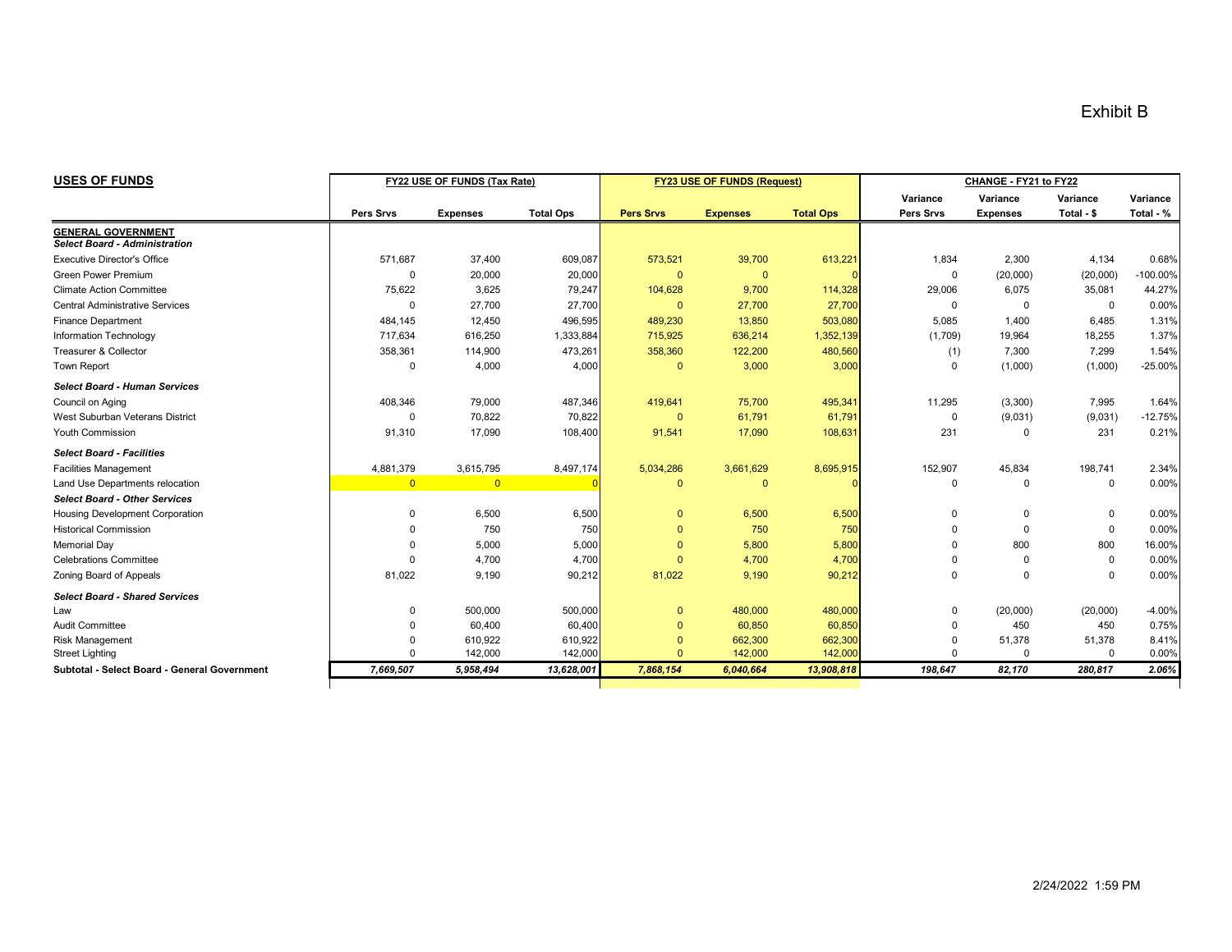| <b>USES OF FUNDS</b>                         | FY22 USE OF FUNDS (Tax Rate) |                 |                  |                  | FY23 USE OF FUNDS (Request) |                  | CHANGE - FY21 to FY22 |                 |             |           |
|----------------------------------------------|------------------------------|-----------------|------------------|------------------|-----------------------------|------------------|-----------------------|-----------------|-------------|-----------|
|                                              |                              |                 |                  |                  |                             |                  | Variance              | Variance        | Variance    | Variance  |
|                                              | Pers Srvs                    | <b>Expenses</b> | <b>Total Ops</b> | <b>Pers Srvs</b> | <b>Expenses</b>             | <b>Total Ops</b> | Pers Srvs             | <b>Expenses</b> | Total - \$  | Total - % |
| <b>GENERAL GOVERNMENT</b>                    |                              |                 |                  |                  |                             |                  |                       |                 |             |           |
| <b>Select Board - Administration</b>         |                              |                 |                  |                  |                             |                  |                       |                 |             |           |
| <b>Executive Director's Office</b>           | 571,687                      | 37,400          | 609,087          | 573,521          | 39,700                      | 613,221          | 1,834                 | 2,300           | 4,134       | 0.68%     |
| <b>Green Power Premium</b>                   | $\Omega$                     | 20,000          | 20,000           | $\mathbf{0}$     | $\mathbf{0}$                |                  | 0                     | (20,000)        | (20,000)    | -100.00%  |
| <b>Climate Action Committee</b>              | 75,622                       | 3,625           | 79,247           | 104,628          | 9,700                       | 114,328          | 29,006                | 6,075           | 35,081      | 44.27%    |
| <b>Central Administrative Services</b>       | $\Omega$                     | 27,700          | 27,700           | $\mathbf{0}$     | 27,700                      | 27,700           | $\Omega$              | $\Omega$        | $\Omega$    | 0.00%     |
| <b>Finance Department</b>                    | 484,145                      | 12,450          | 496,595          | 489,230          | 13,850                      | 503,080          | 5,085                 | 1,400           | 6,485       | 1.31%     |
| Information Technology                       | 717,634                      | 616,250         | 1,333,884        | 715,925          | 636,214                     | 1,352,139        | (1,709)               | 19,964          | 18,255      | 1.37%     |
| Treasurer & Collector                        | 358,361                      | 114,900         | 473,261          | 358,360          | 122,200                     | 480,560          | (1)                   | 7,300           | 7,299       | 1.54%     |
| <b>Town Report</b>                           | $\Omega$                     | 4,000           | 4,000            | $\Omega$         | 3,000                       | 3,000            | $\Omega$              | (1,000)         | (1,000)     | $-25.00%$ |
| <b>Select Board - Human Services</b>         |                              |                 |                  |                  |                             |                  |                       |                 |             |           |
| Council on Aging                             | 408,346                      | 79,000          | 487,346          | 419,641          | 75,700                      | 495,341          | 11,295                | (3,300)         | 7,995       | 1.64%     |
| West Suburban Veterans District              | $\Omega$                     | 70,822          | 70,822           | $\mathbf{0}$     | 61,791                      | 61,791           | $\Omega$              | (9,031)         | (9,031)     | $-12.75%$ |
| Youth Commission                             | 91,310                       | 17,090          | 108,400          | 91,541           | 17,090                      | 108,631          | 231                   | $\Omega$        | 231         | 0.21%     |
| <b>Select Board - Facilities</b>             |                              |                 |                  |                  |                             |                  |                       |                 |             |           |
| <b>Facilities Management</b>                 | 4,881,379                    | 3,615,795       | 8,497,174        | 5,034,286        | 3,661,629                   | 8,695,915        | 152,907               | 45,834          | 198,741     | 2.34%     |
| Land Use Departments relocation              | $\overline{0}$               | $\overline{0}$  |                  | $\Omega$         | $\mathbf{0}$                |                  | $\mathbf 0$           | $\Omega$        | $\mathbf 0$ | 0.00%     |
| <b>Select Board - Other Services</b>         |                              |                 |                  |                  |                             |                  |                       |                 |             |           |
| Housing Development Corporation              | $\Omega$                     | 6,500           | 6,500            | $\Omega$         | 6,500                       | 6,500            | $\Omega$              | $\Omega$        | $\Omega$    | 0.00%     |
| <b>Historical Commission</b>                 | $\Omega$                     | 750             | 750              | $\Omega$         | 750                         | 750              | $\Omega$              | $\Omega$        | $\Omega$    | 0.00%     |
| <b>Memorial Day</b>                          | $\Omega$                     | 5,000           | 5,000            | $\Omega$         | 5,800                       | 5,800            | $\Omega$              | 800             | 800         | 16.00%    |
| <b>Celebrations Committee</b>                | $\Omega$                     | 4,700           | 4,700            | $\Omega$         | 4,700                       | 4,700            | 0                     | 0               | $\Omega$    | 0.00%     |
| Zoning Board of Appeals                      | 81,022                       | 9,190           | 90,212           | 81,022           | 9,190                       | 90,212           | $\Omega$              | $\Omega$        | $\Omega$    | 0.00%     |
| <b>Select Board - Shared Services</b>        |                              |                 |                  |                  |                             |                  |                       |                 |             |           |
| Law                                          | $\Omega$                     | 500,000         | 500,000          | $\mathbf{0}$     | 480,000                     | 480,000          | $\Omega$              | (20,000)        | (20,000)    | $-4.00%$  |
| <b>Audit Committee</b>                       | O                            | 60,400          | 60,400           | $\Omega$         | 60,850                      | 60,850           | $\Omega$              | 450             | 450         | 0.75%     |
| <b>Risk Management</b>                       |                              | 610,922         | 610,922          | $\Omega$         | 662,300                     | 662,300          | $\Omega$              | 51,378          | 51,378      | 8.41%     |
| <b>Street Lighting</b>                       | $\Omega$                     | 142,000         | 142,000          | $\Omega$         | 142,000                     | 142,000          | $\Omega$              | $\Omega$        | $\Omega$    | 0.00%     |
| Subtotal - Select Board - General Government | 7,669,507                    | 5,958,494       | 13,628,001       | 7,868,154        | 6,040,664                   | 13,908,818       | 198,647               | 82,170          | 280,817     | 2.06%     |
|                                              |                              |                 |                  |                  |                             |                  |                       |                 |             |           |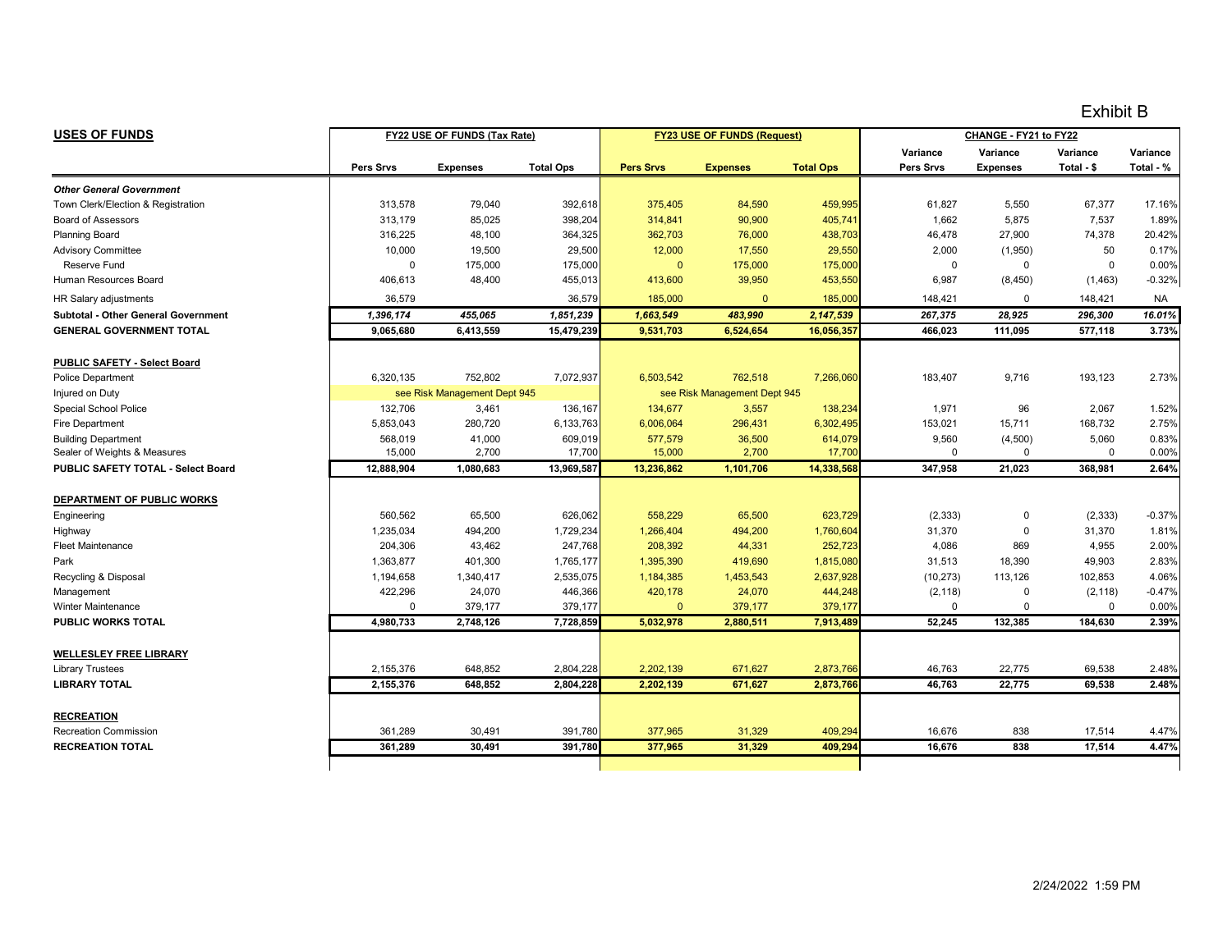| <b>USES OF FUNDS</b>                       |             | FY22 USE OF FUNDS (Tax Rate) |                  |                  | FY23 USE OF FUNDS (Request)  |                  | CHANGE - FY21 to FY22 |                 |             |           |
|--------------------------------------------|-------------|------------------------------|------------------|------------------|------------------------------|------------------|-----------------------|-----------------|-------------|-----------|
|                                            |             |                              |                  |                  |                              |                  | Variance              | Variance        | Variance    | Variance  |
|                                            | Pers Srvs   | <b>Expenses</b>              | <b>Total Ops</b> | <b>Pers Srvs</b> | <b>Expenses</b>              | <b>Total Ops</b> | Pers Srvs             | <b>Expenses</b> | Total - \$  | Total - % |
| <b>Other General Government</b>            |             |                              |                  |                  |                              |                  |                       |                 |             |           |
| Town Clerk/Election & Registration         | 313,578     | 79,040                       | 392,618          | 375,405          | 84,590                       | 459,995          | 61,827                | 5,550           | 67,377      | 17.16%    |
| <b>Board of Assessors</b>                  | 313,179     | 85,025                       | 398,204          | 314,841          | 90,900                       | 405,741          | 1,662                 | 5,875           | 7,537       | 1.89%     |
| <b>Planning Board</b>                      | 316,225     | 48,100                       | 364,325          | 362,703          | 76,000                       | 438,703          | 46,478                | 27,900          | 74,378      | 20.42%    |
| <b>Advisory Committee</b>                  | 10,000      | 19,500                       | 29,500           | 12,000           | 17,550                       | 29,550           | 2,000                 | (1,950)         | 50          | 0.17%     |
| <b>Reserve Fund</b>                        | $\mathbf 0$ | 175,000                      | 175,000          | $\mathbf{0}$     | 175,000                      | 175,000          | $\mathbf 0$           | $\mathbf 0$     | $\mathbf 0$ | 0.00%     |
| Human Resources Board                      | 406,613     | 48,400                       | 455,013          | 413,600          | 39,950                       | 453,550          | 6,987                 | (8, 450)        | (1, 463)    | $-0.32%$  |
| HR Salary adjustments                      | 36,579      |                              | 36,579           | 185,000          | $\mathbf{0}$                 | 185,000          | 148,421               | $\mathbf 0$     | 148,421     | <b>NA</b> |
| <b>Subtotal - Other General Government</b> | 1,396,174   | 455,065                      | 1,851,239        | 1,663,549        | 483,990                      | 2,147,539        | 267,375               | 28,925          | 296,300     | 16.01%    |
| <b>GENERAL GOVERNMENT TOTAL</b>            | 9,065,680   | 6,413,559                    | 15,479,239       | 9,531,703        | 6,524,654                    | 16,056,357       | 466,023               | 111,095         | 577,118     | 3.73%     |
| PUBLIC SAFETY - Select Board               |             |                              |                  |                  |                              |                  |                       |                 |             |           |
| <b>Police Department</b>                   | 6,320,135   | 752,802                      | 7,072,937        | 6,503,542        | 762,518                      | 7,266,060        | 183,407               | 9,716           | 193,123     | 2.73%     |
| Injured on Duty                            |             | see Risk Management Dept 945 |                  |                  | see Risk Management Dept 945 |                  |                       |                 |             |           |
| Special School Police                      | 132,706     | 3,461                        | 136,167          | 134,677          | 3,557                        | 138,234          | 1,971                 | 96              | 2,067       | 1.52%     |
| <b>Fire Department</b>                     | 5,853,043   | 280,720                      | 6,133,763        | 6,006,064        | 296,431                      | 6,302,495        | 153,021               | 15,711          | 168,732     | 2.75%     |
| <b>Building Department</b>                 | 568,019     | 41,000                       | 609,019          | 577,579          | 36,500                       | 614,079          | 9,560                 | (4,500)         | 5,060       | 0.83%     |
| Sealer of Weights & Measures               | 15,000      | 2,700                        | 17,700           | 15,000           | 2,700                        | 17,700           | $\Omega$              | $\mathbf 0$     | $\Omega$    | 0.00%     |
| PUBLIC SAFETY TOTAL - Select Board         | 12.888.904  | 1,080,683                    | 13,969,587       | 13,236,862       | 1,101,706                    | 14,338,568       | 347.958               | 21.023          | 368.981     | 2.64%     |
| DEPARTMENT OF PUBLIC WORKS                 |             |                              |                  |                  |                              |                  |                       |                 |             |           |
| Engineering                                | 560,562     | 65,500                       | 626,062          | 558,229          | 65,500                       | 623,729          | (2, 333)              | 0               | (2, 333)    | $-0.37%$  |
| Highway                                    | 1,235,034   | 494,200                      | 1,729,234        | 1,266,404        | 494,200                      | 1,760,604        | 31,370                | $\mathbf 0$     | 31,370      | 1.81%     |
| <b>Fleet Maintenance</b>                   | 204,306     | 43,462                       | 247,768          | 208,392          | 44,331                       | 252,723          | 4,086                 | 869             | 4,955       | 2.00%     |
| Park                                       | 1,363,877   | 401,300                      | 1,765,177        | 1,395,390        | 419,690                      | 1,815,080        | 31,513                | 18,390          | 49,903      | 2.83%     |
| Recycling & Disposal                       | 1,194,658   | 1,340,417                    | 2,535,075        | 1,184,385        | 1,453,543                    | 2,637,928        | (10, 273)             | 113,126         | 102,853     | 4.06%     |
| Management                                 | 422,296     | 24,070                       | 446,366          | 420,178          | 24,070                       | 444,248          | (2, 118)              | $\mathbf 0$     | (2, 118)    | $-0.47%$  |
| <b>Winter Maintenance</b>                  | $\mathbf 0$ | 379,177                      | 379,177          | $\Omega$         | 379,177                      | 379,177          | $\Omega$              | $\pmb{0}$       | $\Omega$    | 0.00%     |
| PUBLIC WORKS TOTAL                         | 4,980,733   | 2,748,126                    | 7,728,859        | 5,032,978        | 2,880,511                    | 7,913,489        | 52,245                | 132,385         | 184,630     | 2.39%     |
| <b>WELLESLEY FREE LIBRARY</b>              |             |                              |                  |                  |                              |                  |                       |                 |             |           |
| <b>Library Trustees</b>                    | 2,155,376   | 648,852                      | 2,804,228        | 2,202,139        | 671,627                      | 2,873,766        | 46,763                | 22,775          | 69,538      | 2.48%     |
| <b>LIBRARY TOTAL</b>                       | 2,155,376   | 648.852                      | 2.804.228        | 2,202,139        | 671,627                      | 2,873,766        | 46.763                | 22,775          | 69,538      | 2.48%     |
|                                            |             |                              |                  |                  |                              |                  |                       |                 |             |           |
| <b>RECREATION</b>                          |             |                              |                  |                  |                              |                  |                       |                 |             |           |
| <b>Recreation Commission</b>               | 361,289     | 30,491                       | 391,780          | 377,965          | 31,329                       | 409,294          | 16,676                | 838             | 17,514      | 4.47%     |
| <b>RECREATION TOTAL</b>                    | 361,289     | 30,491                       | 391,780          | 377,965          | 31,329                       | 409,294          | 16,676                | 838             | 17,514      | 4.47%     |
|                                            |             |                              |                  |                  |                              |                  |                       |                 |             |           |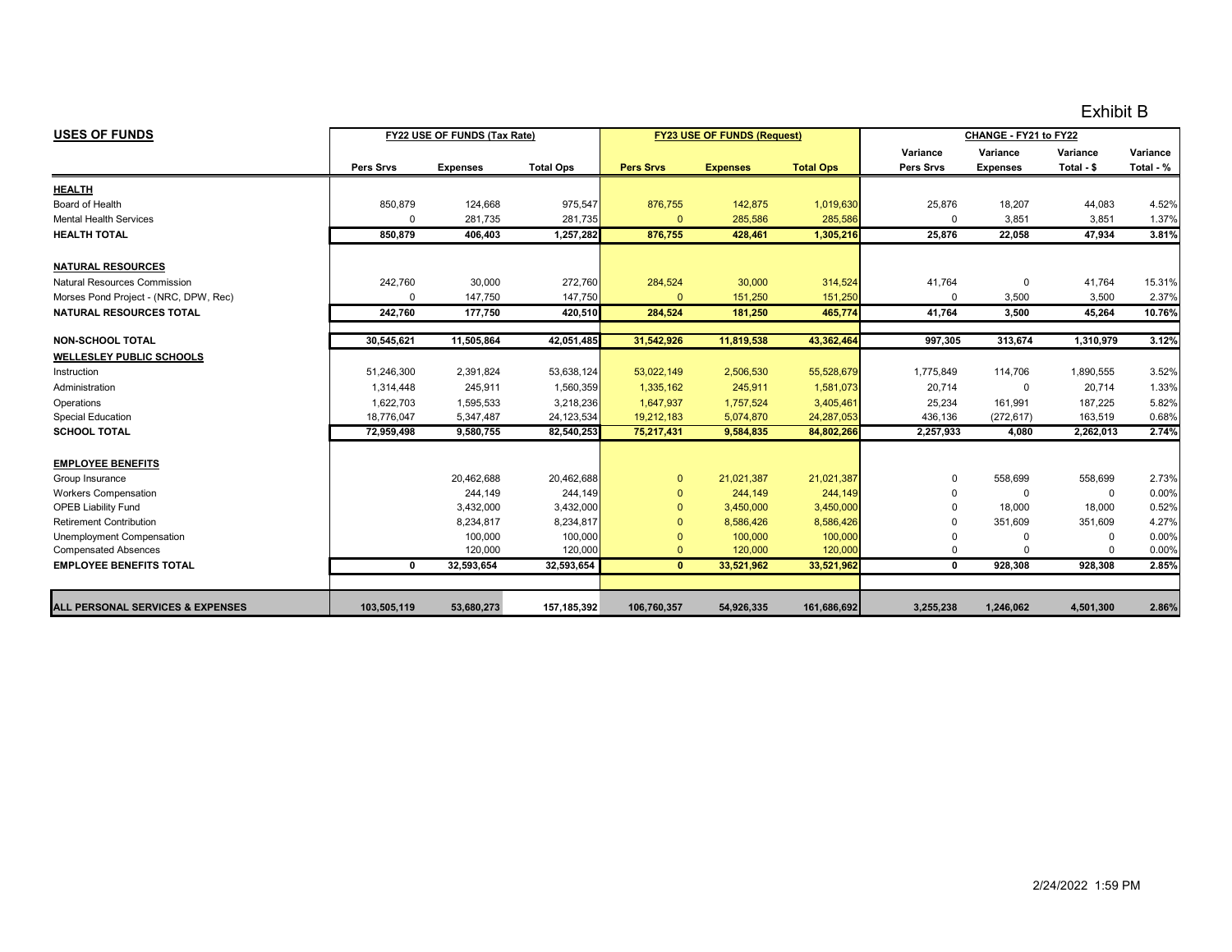| <b>USES OF FUNDS</b>                        |              | FY22 USE OF FUNDS (Tax Rate) |                  |                  | <b>FY23 USE OF FUNDS (Request)</b> |                  |              | CHANGE - FY21 to FY22 |             |           |
|---------------------------------------------|--------------|------------------------------|------------------|------------------|------------------------------------|------------------|--------------|-----------------------|-------------|-----------|
|                                             |              |                              |                  |                  |                                    |                  | Variance     | Variance              | Variance    | Variance  |
|                                             | Pers Srvs    | <b>Expenses</b>              | <b>Total Ops</b> | <b>Pers Srvs</b> | <b>Expenses</b>                    | <b>Total Ops</b> | Pers Srvs    | <b>Expenses</b>       | Total - \$  | Total - % |
| <b>HEALTH</b>                               |              |                              |                  |                  |                                    |                  |              |                       |             |           |
| Board of Health                             | 850,879      | 124,668                      | 975,547          | 876,755          | 142,875                            | 1,019,630        | 25,876       | 18,207                | 44,083      | 4.52%     |
| <b>Mental Health Services</b>               | $\Omega$     | 281,735                      | 281,735          | $\Omega$         | 285,586                            | 285,586          | $\Omega$     | 3,851                 | 3,851       | 1.37%     |
| <b>HEALTH TOTAL</b>                         | 850.879      | 406,403                      | 1,257,282        | 876.755          | 428,461                            | 1,305,216        | 25.876       | 22,058                | 47,934      | 3.81%     |
| <b>NATURAL RESOURCES</b>                    |              |                              |                  |                  |                                    |                  |              |                       |             |           |
| Natural Resources Commission                | 242,760      | 30,000                       | 272,760          | 284,524          | 30,000                             | 314,524          | 41,764       | 0                     | 41,764      | 15.31%    |
| Morses Pond Project - (NRC, DPW, Rec)       | 0            | 147.750                      | 147,750          | $\mathbf{0}$     | 151,250                            | 151,250          | 0            | 3,500                 | 3,500       | 2.37%     |
| <b>NATURAL RESOURCES TOTAL</b>              | 242.760      | 177,750                      | 420,510          | 284.524          | 181,250                            | 465,774          | 41,764       | 3,500                 | 45,264      | 10.76%    |
|                                             |              |                              |                  |                  |                                    |                  |              |                       |             |           |
| <b>NON-SCHOOL TOTAL</b>                     | 30,545,621   | 11,505,864                   | 42,051,485       | 31,542,926       | 11,819,538                         | 43,362,464       | 997,305      | 313,674               | 1,310,979   | 3.12%     |
| <b>WELLESLEY PUBLIC SCHOOLS</b>             |              |                              |                  |                  |                                    |                  |              |                       |             |           |
| Instruction                                 | 51.246.300   | 2,391,824                    | 53,638,124       | 53,022,149       | 2,506,530                          | 55,528,679       | 1.775.849    | 114.706               | 1,890,555   | 3.52%     |
| Administration                              | 1.314.448    | 245,911                      | 1,560,359        | 1,335,162        | 245,911                            | 1,581,073        | 20,714       | 0                     | 20,714      | 1.33%     |
| Operations                                  | 1,622,703    | 1,595,533                    | 3,218,236        | 1,647,937        | 1,757,524                          | 3,405,461        | 25,234       | 161,991               | 187,225     | 5.82%     |
| <b>Special Education</b>                    | 18.776.047   | 5,347,487                    | 24, 123, 534     | 19,212,183       | 5,074,870                          | 24,287,053       | 436,136      | (272, 617)            | 163,519     | 0.68%     |
| <b>SCHOOL TOTAL</b>                         | 72.959.498   | 9.580.755                    | 82,540,253       | 75,217,431       | 9,584,835                          | 84,802,266       | 2,257,933    | 4.080                 | 2.262.013   | 2.74%     |
| <b>EMPLOYEE BENEFITS</b>                    |              |                              |                  |                  |                                    |                  |              |                       |             |           |
| Group Insurance                             |              | 20,462,688                   | 20,462,688       | $\mathbf{0}$     | 21,021,387                         | 21,021,387       | 0            | 558,699               | 558,699     | 2.73%     |
| <b>Workers Compensation</b>                 |              | 244,149                      | 244,149          | $\mathbf{0}$     | 244,149                            | 244,149          | 0            | 0                     | $\mathbf 0$ | 0.00%     |
| <b>OPEB Liability Fund</b>                  |              | 3,432,000                    | 3,432,000        | $\Omega$         | 3,450,000                          | 3,450,000        |              | 18,000                | 18,000      | 0.52%     |
| <b>Retirement Contribution</b>              |              | 8,234,817                    | 8,234,817        | $\Omega$         | 8,586,426                          | 8,586,426        |              | 351,609               | 351,609     | 4.27%     |
| Unemployment Compensation                   |              | 100.000                      | 100,000          | $\Omega$         | 100,000                            | 100,000          | O            | $\Omega$              | $\Omega$    | 0.00%     |
| <b>Compensated Absences</b>                 |              | 120,000                      | 120,000          | $\Omega$         | 120,000                            | 120,000          | 0            | $\Omega$              | $\Omega$    | 0.00%     |
| <b>EMPLOYEE BENEFITS TOTAL</b>              | $\mathbf{0}$ | 32,593,654                   | 32,593,654       | $\mathbf{0}$     | 33,521,962                         | 33,521,962       | $\mathbf{0}$ | 928,308               | 928,308     | 2.85%     |
|                                             |              |                              |                  |                  |                                    |                  |              |                       |             |           |
| <b>ALL PERSONAL SERVICES &amp; EXPENSES</b> | 103,505,119  | 53,680,273                   | 157, 185, 392    | 106,760,357      | 54,926,335                         | 161,686,692      | 3,255,238    | 1,246,062             | 4,501,300   | 2.86%     |